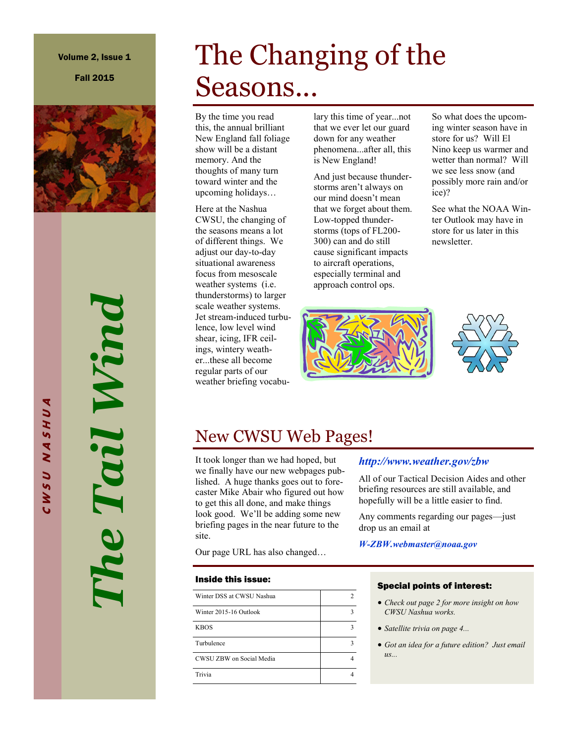#### Volume 2, Issue 1

Fall 2015



*The Tail Wind* The Tail Wind

# The Changing of the Seasons...

By the time you read this, the annual brilliant New England fall foliage show will be a distant memory. And the thoughts of many turn toward winter and the upcoming holidays…

Here at the Nashua CWSU, the changing of the seasons means a lot of different things. We adjust our day-to-day situational awareness focus from mesoscale weather systems (i.e. thunderstorms) to larger scale weather systems. Jet stream-induced turbulence, low level wind shear, icing, IFR ceilings, wintery weather...these all become regular parts of our weather briefing vocabulary this time of year...not that we ever let our guard down for any weather phenomena...after all, this is New England!

And just because thunderstorms aren't always on our mind doesn't mean that we forget about them. Low-topped thunderstorms (tops of FL200- 300) can and do still cause significant impacts to aircraft operations, especially terminal and approach control ops.



So what does the upcoming winter season have in store for us? Will El Nino keep us warmer and wetter than normal? Will we see less snow (and possibly more rain and/or ice)?

See what the NOAA Winter Outlook may have in store for us later in this newsletter.



### New CWSU Web Pages!

It took longer than we had hoped, but we finally have our new webpages published. A huge thanks goes out to forecaster Mike Abair who figured out how to get this all done, and make things look good. We'll be adding some new briefing pages in the near future to the site.

Our page URL has also changed…

#### Inside this issue:

| Winter DSS at CWSU Nashua | 2 |
|---------------------------|---|
| Winter 2015-16 Outlook    | ٩ |
| <b>KBOS</b>               | ٩ |
| Turbulence                | ٩ |
| CWSU ZBW on Social Media  |   |
| Trivia                    |   |

#### *http://www.weather.gov/zbw*

All of our Tactical Decision Aides and other briefing resources are still available, and hopefully will be a little easier to find.

Any comments regarding our pages—just drop us an email at

*W-ZBW.webmaster@noaa.gov* 

#### Special points of interest:

- *Check out page 2 for more insight on how CWSU Nashua works.*
- *Satellite trivia on page 4...*
- *Got an idea for a future edition? Just email us...*

**C W S U N A S H U A** CWSU NASHUA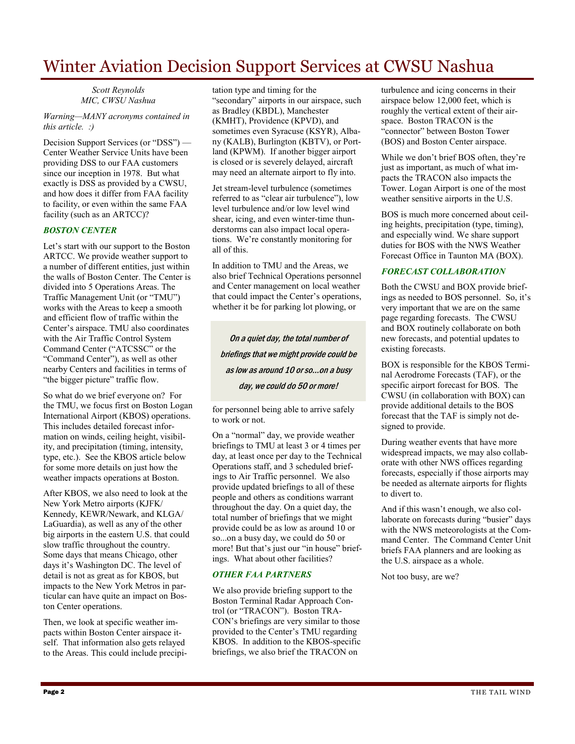### Winter Aviation Decision Support Services at CWSU Nashua

*Scott Reynolds MIC, CWSU Nashua*

*Warning—MANY acronyms contained in this article. :)*

Decision Support Services (or "DSS") — Center Weather Service Units have been providing DSS to our FAA customers since our inception in 1978. But what exactly is DSS as provided by a CWSU, and how does it differ from FAA facility to facility, or even within the same FAA facility (such as an ARTCC)?

#### *BOSTON CENTER*

Let's start with our support to the Boston ARTCC. We provide weather support to a number of different entities, just within the walls of Boston Center. The Center is divided into 5 Operations Areas. The Traffic Management Unit (or "TMU") works with the Areas to keep a smooth and efficient flow of traffic within the Center's airspace. TMU also coordinates with the Air Traffic Control System Command Center ("ATCSSC" or the "Command Center"), as well as other nearby Centers and facilities in terms of "the bigger picture" traffic flow.

So what do we brief everyone on? For the TMU, we focus first on Boston Logan International Airport (KBOS) operations. This includes detailed forecast information on winds, ceiling height, visibility, and precipitation (timing, intensity, type, etc.). See the KBOS article below for some more details on just how the weather impacts operations at Boston.

After KBOS, we also need to look at the New York Metro airports (KJFK/ Kennedy, KEWR/Newark, and KLGA/ LaGuardia), as well as any of the other big airports in the eastern U.S. that could slow traffic throughout the country. Some days that means Chicago, other days it's Washington DC. The level of detail is not as great as for KBOS, but impacts to the New York Metros in particular can have quite an impact on Boston Center operations.

Then, we look at specific weather impacts within Boston Center airspace itself. That information also gets relayed to the Areas. This could include precipi-

tation type and timing for the "secondary" airports in our airspace, such as Bradley (KBDL), Manchester (KMHT), Providence (KPVD), and sometimes even Syracuse (KSYR), Albany (KALB), Burlington (KBTV), or Portland (KPWM). If another bigger airport is closed or is severely delayed, aircraft may need an alternate airport to fly into.

Jet stream-level turbulence (sometimes referred to as "clear air turbulence"), low level turbulence and/or low level wind shear, icing, and even winter-time thunderstorms can also impact local operations. We're constantly monitoring for all of this.

In addition to TMU and the Areas, we also brief Technical Operations personnel and Center management on local weather that could impact the Center's operations, whether it be for parking lot plowing, or

On a quiet day, the total number of briefings that we might provide could be as low as around 10 or so...on a busy day, we could do 50 or more!

for personnel being able to arrive safely to work or not.

On a "normal" day, we provide weather briefings to TMU at least 3 or 4 times per day, at least once per day to the Technical Operations staff, and 3 scheduled briefings to Air Traffic personnel. We also provide updated briefings to all of these people and others as conditions warrant throughout the day. On a quiet day, the total number of briefings that we might provide could be as low as around 10 or so...on a busy day, we could do 50 or more! But that's just our "in house" briefings. What about other facilities?

#### *OTHER FAA PARTNERS*

We also provide briefing support to the Boston Terminal Radar Approach Control (or "TRACON"). Boston TRA-CON's briefings are very similar to those provided to the Center's TMU regarding KBOS. In addition to the KBOS-specific briefings, we also brief the TRACON on

turbulence and icing concerns in their airspace below 12,000 feet, which is roughly the vertical extent of their airspace. Boston TRACON is the "connector" between Boston Tower (BOS) and Boston Center airspace.

While we don't brief BOS often, they're just as important, as much of what impacts the TRACON also impacts the Tower. Logan Airport is one of the most weather sensitive airports in the U.S.

BOS is much more concerned about ceiling heights, precipitation (type, timing), and especially wind. We share support duties for BOS with the NWS Weather Forecast Office in Taunton MA (BOX).

#### *FORECAST COLLABORATION*

Both the CWSU and BOX provide briefings as needed to BOS personnel. So, it's very important that we are on the same page regarding forecasts. The CWSU and BOX routinely collaborate on both new forecasts, and potential updates to existing forecasts.

BOX is responsible for the KBOS Terminal Aerodrome Forecasts (TAF), or the specific airport forecast for BOS. The CWSU (in collaboration with BOX) can provide additional details to the BOS forecast that the TAF is simply not designed to provide.

During weather events that have more widespread impacts, we may also collaborate with other NWS offices regarding forecasts, especially if those airports may be needed as alternate airports for flights to divert to.

And if this wasn't enough, we also collaborate on forecasts during "busier" days with the NWS meteorologists at the Command Center. The Command Center Unit briefs FAA planners and are looking as the U.S. airspace as a whole.

Not too busy, are we?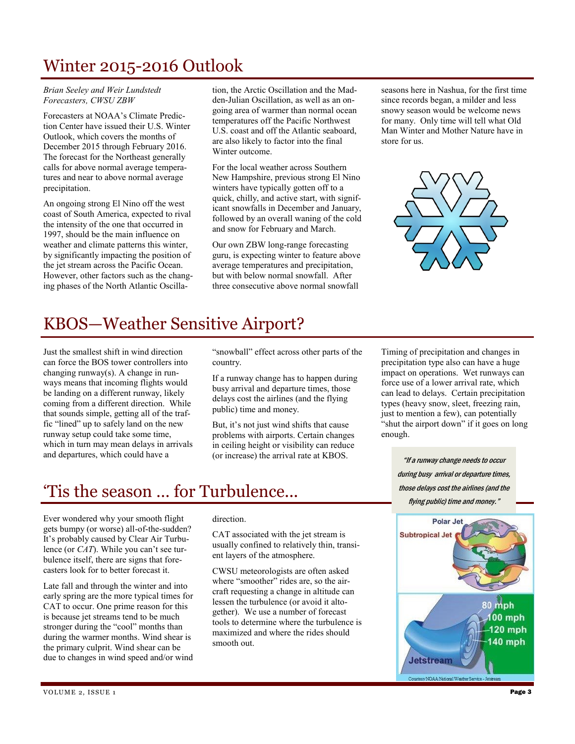# Winter 2015-2016 Outlook

*Brian Seeley and Weir Lundstedt Forecasters, CWSU ZBW*

Forecasters at NOAA's Climate Prediction Center have issued their U.S. Winter Outlook, which covers the months of December 2015 through February 2016. The forecast for the Northeast generally calls for above normal average temperatures and near to above normal average precipitation.

An ongoing strong El Nino off the west coast of South America, expected to rival the intensity of the one that occurred in 1997, should be the main influence on weather and climate patterns this winter, by significantly impacting the position of the jet stream across the Pacific Ocean. However, other factors such as the changing phases of the North Atlantic Oscilla-

tion, the Arctic Oscillation and the Madden-Julian Oscillation, as well as an ongoing area of warmer than normal ocean temperatures off the Pacific Northwest U.S. coast and off the Atlantic seaboard, are also likely to factor into the final Winter outcome.

For the local weather across Southern New Hampshire, previous strong El Nino winters have typically gotten off to a quick, chilly, and active start, with significant snowfalls in December and January, followed by an overall waning of the cold and snow for February and March.

Our own ZBW long-range forecasting guru, is expecting winter to feature above average temperatures and precipitation, but with below normal snowfall. After three consecutive above normal snowfall

seasons here in Nashua, for the first time since records began, a milder and less snowy season would be welcome news for many. Only time will tell what Old Man Winter and Mother Nature have in store for us.



## KBOS—Weather Sensitive Airport?

Just the smallest shift in wind direction can force the BOS tower controllers into changing runway(s). A change in runways means that incoming flights would be landing on a different runway, likely coming from a different direction. While that sounds simple, getting all of the traffic "lined" up to safely land on the new runway setup could take some time, which in turn may mean delays in arrivals and departures, which could have a

"snowball" effect across other parts of the country.

If a runway change has to happen during busy arrival and departure times, those delays cost the airlines (and the flying public) time and money.

But, it's not just wind shifts that cause problems with airports. Certain changes in ceiling height or visibility can reduce (or increase) the arrival rate at KBOS.

## 'Tis the season … for Turbulence...

Ever wondered why your smooth flight gets bumpy (or worse) all-of-the-sudden? It's probably caused by Clear Air Turbulence (or *CAT*). While you can't see turbulence itself, there are signs that forecasters look for to better forecast it.

Late fall and through the winter and into early spring are the more typical times for CAT to occur. One prime reason for this is because jet streams tend to be much stronger during the "cool" months than during the warmer months. Wind shear is the primary culprit. Wind shear can be due to changes in wind speed and/or wind

#### direction.

CAT associated with the jet stream is usually confined to relatively thin, transient layers of the atmosphere.

CWSU meteorologists are often asked where "smoother" rides are, so the aircraft requesting a change in altitude can lessen the turbulence (or avoid it altogether). We use a number of forecast tools to determine where the turbulence is maximized and where the rides should smooth out.

Timing of precipitation and changes in precipitation type also can have a huge impact on operations. Wet runways can force use of a lower arrival rate, which can lead to delays. Certain precipitation types (heavy snow, sleet, freezing rain, just to mention a few), can potentially "shut the airport down" if it goes on long enough.